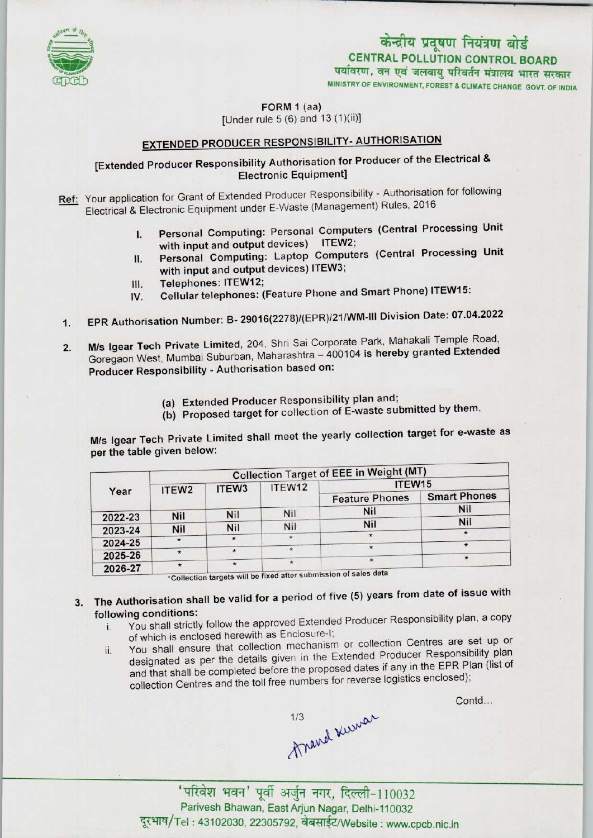

# केन्द्रीय प्रदूषण नियंत्रण बोर्ड CENTRAL POLLUTION CONTROL BOARD<br>पर्यावरण, वन एवं जलवाय परिवर्तन मंत्रालय भारत सरकार

MINISTRY OF ENVIRONMENT, FOREST & CLIMATE CHANGE GOVT. OF INDIA

FORM 1 (aa)

## [Under rule  $5(6)$  and  $13(1)(ii)$ ]

## **EXTENDED PRODUCER RESPONSIBILITY- AUTHORISATION**

#### [Extended Producer Responsibility Authorisation for Producer of the Electrical & Electronic Equipment]

Ref: Your application for Grant of Extended Producer Responsibility - Authorisation for following Electrical & Electronic Equipment under E-Waste (Management) Rules, 2016

- I. Personal Computing: Personal Computers (Central Processing Unit with input and output devices) ITEW2;
- II. Personal Computing: Laptop Computers (Central Processing Unit with input and output devices) ITEW3;<br>Telephones: ITEW12; II. Personal Computing: Laptop Computers (Company Provident Phone)<br>
III. Telephones: ITEW12;<br>
IV. Cellular telephones: (Feature Phone and Smart Phone) ITEW15:
- 
- 
- 1. Telephones: ITEW12;<br>IV. Cellular telephones: (Feature Phone and Smart Phone) ITEW15:<br>1. EPR Authorisation Number: B- 29016(2278)/(EPR)/21/WM-III Division Date: 07.04.2022
- 2. M/s Igear Tech Private Limited, 204, Shri Sai Corporate Park, Mahakali Temple Road, Goregaon West, Mumbai Suburban, Maharashtra - 400104 is hereby granted Extended Producer Responsibility - Authorisation based on:
	- (a)Extended Producer Responsibility plan and;
	- (b) Proposed target for collection of E-waste submitted by them.

M/s Igear Tech Private Limited shall meet the yearly collection target for e-waste as per the table given below:

|         | <b>Collection Target of EEE in Weight (MT)</b> |                   |         |                                                                  |                     |
|---------|------------------------------------------------|-------------------|---------|------------------------------------------------------------------|---------------------|
| Year    | ITEW <sub>2</sub>                              | ITEW <sub>3</sub> | ITEW12  | ITEW15                                                           |                     |
|         |                                                |                   |         | <b>Feature Phones</b>                                            | <b>Smart Phones</b> |
|         |                                                | <b>Nil</b>        | Nil     | <b>Nil</b>                                                       | <b>Nil</b>          |
| 2022-23 | <b>Nil</b>                                     |                   |         | Nil                                                              | <b>Nil</b>          |
| 2023-24 | Nil                                            | Nil               | Nil     |                                                                  | ₩.                  |
| 2024-25 |                                                |                   | $\star$ |                                                                  |                     |
|         | $\star$                                        |                   | $\star$ |                                                                  | $\star$             |
| 2025-26 |                                                |                   | $\star$ | $\star$                                                          |                     |
| 2026-27 | $\star$                                        | $\star$           |         | *Collection targets will be fixed after submission of sales data |                     |

- 3. The Authorisation shall be valid for a period of five (5) years from date of issue with following conditions:
	- i. You shall strictly follow the approved Extended Producer Responsibility plan, a copy of which is enclosed herewith as Enclosure-I;
	- ii. You shall ensure that collection mechanism or collection Centres are set up or designated as per the details given in the Extended Producer Responsibility plan and that shall be completed before the proposed dates if any in the EPR Plan (list of collection Centres and the toll free numbers for reverse logistics enclosed);

Contd...

1/3 Kurrar

'परिवेश भवन' पूर्वी अर्जुन नगर, दिल्ली-110032<br>Parivesh Bhawan, East Arjun Nagar, Delhi-110032 दूरभाष/Tel: 43102030, 22305792, वेबसाईट/Website : www.cpcb.nic.in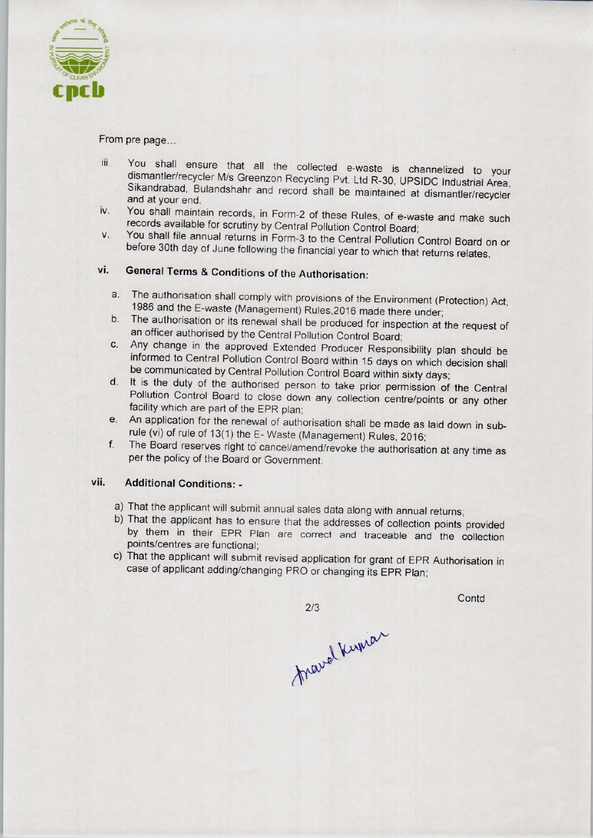

#### From pre page...

- iii. You shall ensure that all the collected e-waste is channelized to your dismantler/recycler M/s Greenzon Recycling Pvt. Ltd R-30, UPSIDC Industrial Area, Sikandrabad, Bulandshahr and record shall be maintained at dismantler/recycler and at your end.
- iv. You shall maintain records, in Form-2 of these Rules, of e-waste and make such records available for scrutiny by Central Pollution Control Board;
- v. You shall file annual returnsin Form-3 to the Central Pollution Control Board on or before 30th day of June following the financial year to which that returns relates.

### vi. General Terms & Conditions of the Authorisation:

- a.The authorisation shall comply with provisions of the Environment (Protection) Act, 1986 and the E-waste (Management) Rules,2016 made there under;
- b.The authorisation or its renewal shall be produced for inspection at the request of an officer authorised by the Central Pollution Control Board;
- C. Any change in the approved Extended Producer Responsibility plan should be informed to Central Pollution Control Board within 15 days on which decision shall be communicated by Central Pollution Control Board within sixty days;
- d. It is the duty of the authorised person to take prior permission of the Central Pollution Control Board to close down any collection centre/points or any other facility which are part of the EPR plan;
- e.An application for the renewal of authorisation shall be made as laid down in subrule {vi) of rule of 13(1) the E- Waste (Management) Rules, 2016;
- f.The Board reserves right to cancel/amend/revoke the authorisation at any time as per the policy of the Board or Government.

#### vii. Additional Conditions: -

- a)That the applicant will submit annual sales data along with annual returns;
- b) That the applicant has to ensure that the addresses of collection points provided by them in their EPR Plan are correct and traceable and the collection points/centres are functional;
- c) That the applicant will submit revised application for grant of EPR Authorisation in case of applicant adding/changing PRO or changing its EPR Plan;

 $2/3$ 

**Contd** 

fravel Kupian